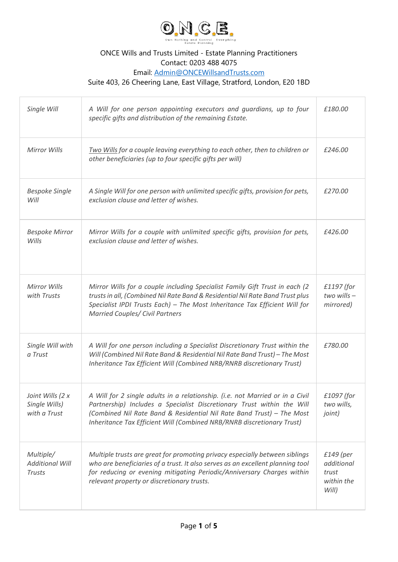

## ONCE Wills and Trusts Limited - Estate Planning Practitioners Contact: 0203 488 4075 Email: [Admin@ONCEWillsandTrusts.com](mailto:Admin@ONCEWillsandTrusts.com)

Suite 403, 26 Cheering Lane, East Village, Stratford, London, E20 1BD

| Single Will                                          | A Will for one person appointing executors and guardians, up to four<br>specific gifts and distribution of the remaining Estate.                                                                                                                                                                           | £180.00                                                   |
|------------------------------------------------------|------------------------------------------------------------------------------------------------------------------------------------------------------------------------------------------------------------------------------------------------------------------------------------------------------------|-----------------------------------------------------------|
| Mirror Wills                                         | Two Wills for a couple leaving everything to each other, then to children or<br>other beneficiaries (up to four specific gifts per will)                                                                                                                                                                   | £246.00                                                   |
| <b>Bespoke Single</b><br>Will                        | A Single Will for one person with unlimited specific gifts, provision for pets,<br>exclusion clause and letter of wishes.                                                                                                                                                                                  | £270.00                                                   |
| <b>Bespoke Mirror</b><br>Wills                       | Mirror Wills for a couple with unlimited specific gifts, provision for pets,<br>exclusion clause and letter of wishes.                                                                                                                                                                                     | £426.00                                                   |
| <b>Mirror Wills</b><br>with Trusts                   | Mirror Wills for a couple including Specialist Family Gift Trust in each (2<br>trusts in all, (Combined Nil Rate Band & Residential Nil Rate Band Trust plus<br>Specialist IPDI Trusts Each) - The Most Inheritance Tax Efficient Will for<br><b>Married Couples/ Civil Partners</b>                       | £1197 (for<br>$two$ wills $-$<br>mirrored)                |
| Single Will with<br>a Trust                          | A Will for one person including a Specialist Discretionary Trust within the<br>Will (Combined Nil Rate Band & Residential Nil Rate Band Trust) - The Most<br>Inheritance Tax Efficient Will (Combined NRB/RNRB discretionary Trust)                                                                        | £780.00                                                   |
| Joint Wills (2 x<br>Single Wills)<br>with a Trust    | A Will for 2 single adults in a relationship. (i.e. not Married or in a Civil<br>Partnership) Includes a Specialist Discretionary Trust within the Will<br>(Combined Nil Rate Band & Residential Nil Rate Band Trust) - The Most<br>Inheritance Tax Efficient Will (Combined NRB/RNRB discretionary Trust) | £1097 (for<br>two wills,<br>joint)                        |
| Multiple/<br><b>Additional Will</b><br><b>Trusts</b> | Multiple trusts are great for promoting privacy especially between siblings<br>who are beneficiaries of a trust. It also serves as an excellent planning tool<br>for reducing or evening mitigating Periodic/Anniversary Charges within<br>relevant property or discretionary trusts.                      | $£149$ (per<br>additional<br>trust<br>within the<br>Will) |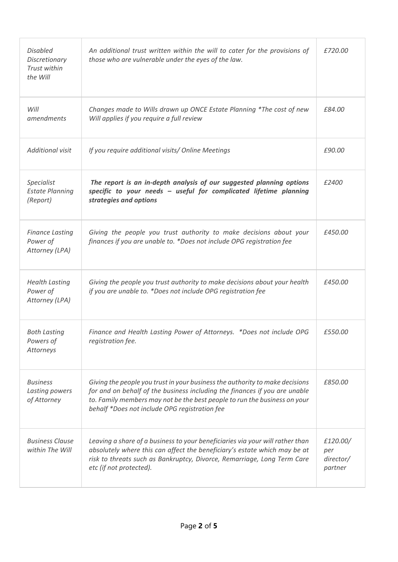| <b>Disabled</b><br>Discretionary<br>Trust within<br>the Will | An additional trust written within the will to cater for the provisions of<br>those who are vulnerable under the eyes of the law.                                                                                                                                                        | £720.00                                 |
|--------------------------------------------------------------|------------------------------------------------------------------------------------------------------------------------------------------------------------------------------------------------------------------------------------------------------------------------------------------|-----------------------------------------|
| Will<br>amendments                                           | Changes made to Wills drawn up ONCE Estate Planning *The cost of new<br>Will applies if you require a full review                                                                                                                                                                        | £84.00                                  |
| Additional visit                                             | If you require additional visits/ Online Meetings                                                                                                                                                                                                                                        | £90.00                                  |
| Specialist<br><b>Estate Planning</b><br>(Report)             | The report is an in-depth analysis of our suggested planning options<br>specific to your needs - useful for complicated lifetime planning<br>strategies and options                                                                                                                      | £2400                                   |
| <b>Finance Lasting</b><br>Power of<br>Attorney (LPA)         | Giving the people you trust authority to make decisions about your<br>finances if you are unable to. *Does not include OPG registration fee                                                                                                                                              | £450.00                                 |
| <b>Health Lasting</b><br>Power of<br>Attorney (LPA)          | Giving the people you trust authority to make decisions about your health<br>if you are unable to. *Does not include OPG registration fee                                                                                                                                                | £450.00                                 |
| <b>Both Lasting</b><br>Powers of<br>Attorneys                | Finance and Health Lasting Power of Attorneys. *Does not include OPG<br>registration fee.                                                                                                                                                                                                | £550.00                                 |
| <b>Business</b><br>Lasting powers<br>of Attorney             | Giving the people you trust in your business the authority to make decisions<br>for and on behalf of the business including the finances if you are unable<br>to. Family members may not be the best people to run the business on your<br>behalf *Does not include OPG registration fee | £850.00                                 |
| <b>Business Clause</b><br>within The Will                    | Leaving a share of a business to your beneficiaries via your will rather than<br>absolutely where this can affect the beneficiary's estate which may be at<br>risk to threats such as Bankruptcy, Divorce, Remarriage, Long Term Care<br>etc (if not protected).                         | £120.00/<br>per<br>director/<br>partner |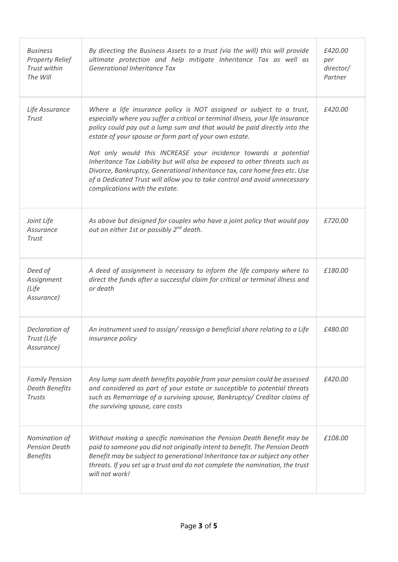| <b>Business</b><br><b>Property Relief</b><br>Trust within<br>The Will | By directing the Business Assets to a trust (via the will) this will provide<br>ultimate protection and help mitigate Inheritance Tax as well as<br>Generational Inheritance Tax                                                                                                                                                                                                                                                                                                                                                                                                                                                             | £420.00<br>per<br>director/<br>Partner |
|-----------------------------------------------------------------------|----------------------------------------------------------------------------------------------------------------------------------------------------------------------------------------------------------------------------------------------------------------------------------------------------------------------------------------------------------------------------------------------------------------------------------------------------------------------------------------------------------------------------------------------------------------------------------------------------------------------------------------------|----------------------------------------|
| Life Assurance<br><b>Trust</b>                                        | Where a life insurance policy is NOT assigned or subject to a trust,<br>especially where you suffer a critical or terminal illness, your life insurance<br>policy could pay out a lump sum and that would be paid directly into the<br>estate of your spouse or form part of your own estate.<br>Not only would this INCREASE your incidence towards a potential<br>Inheritance Tax Liability but will also be exposed to other threats such as<br>Divorce, Bankruptcy, Generational Inheritance tax, care home fees etc. Use<br>of a Dedicated Trust will allow you to take control and avoid unnecessary<br>complications with the estate. | £420.00                                |
| Joint Life<br>Assurance<br>Trust                                      | As above but designed for couples who have a joint policy that would pay<br>out on either 1st or possibly 2 <sup>nd</sup> death.                                                                                                                                                                                                                                                                                                                                                                                                                                                                                                             | £720.00                                |
| Deed of<br>Assignment<br>(Life<br>Assurance)                          | A deed of assignment is necessary to inform the life company where to<br>direct the funds after a successful claim for critical or terminal illness and<br>or death                                                                                                                                                                                                                                                                                                                                                                                                                                                                          | £180.00                                |
| Declaration of<br>Trust (Life<br>Assurance)                           | An instrument used to assign/reassign a beneficial share relating to a Life<br><i>insurance policy</i>                                                                                                                                                                                                                                                                                                                                                                                                                                                                                                                                       | £480.00                                |
| <b>Family Pension</b><br><b>Death Benefits</b><br><b>Trusts</b>       | Any lump sum death benefits payable from your pension could be assessed<br>and considered as part of your estate or susceptible to potential threats<br>such as Remarriage of a surviving spouse, Bankruptcy/ Creditor claims of<br>the surviving spouse, care costs                                                                                                                                                                                                                                                                                                                                                                         | £420.00                                |
| Nomination of<br><b>Pension Death</b><br><b>Benefits</b>              | Without making a specific nomination the Pension Death Benefit may be<br>paid to someone you did not originally intent to benefit. The Pension Death<br>Benefit may be subject to generational Inheritance tax or subject any other<br>threats. If you set up a trust and do not complete the nomination, the trust<br>will not work!                                                                                                                                                                                                                                                                                                        | £108.00                                |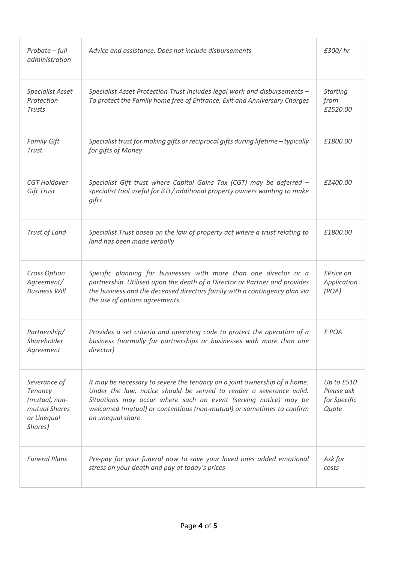| Probate - full<br>administration                                                   | Advice and assistance. Does not include disbursements                                                                                                                                                                                                                                                              | £300/hr                                           |
|------------------------------------------------------------------------------------|--------------------------------------------------------------------------------------------------------------------------------------------------------------------------------------------------------------------------------------------------------------------------------------------------------------------|---------------------------------------------------|
| <b>Specialist Asset</b><br>Protection<br><b>Trusts</b>                             | Specialist Asset Protection Trust includes legal work and disbursements -<br>To protect the Family home free of Entrance, Exit and Anniversary Charges                                                                                                                                                             | <b>Starting</b><br>from<br>£2520.00               |
| <b>Family Gift</b><br>Trust                                                        | Specialist trust for making gifts or reciprocal gifts during lifetime - typically<br>for gifts of Money                                                                                                                                                                                                            | £1800.00                                          |
| CGT Holdover<br>Gift Trust                                                         | Specialist Gift trust where Capital Gains Tax (CGT) may be deferred -<br>specialist tool useful for BTL/ additional property owners wanting to make<br>gifts                                                                                                                                                       | £2400.00                                          |
| Trust of Land                                                                      | Specialist Trust based on the law of property act where a trust relating to<br>land has been made verbally                                                                                                                                                                                                         | £1800.00                                          |
| Cross Option<br>Agreement/<br><b>Business Will</b>                                 | Specific planning for businesses with more than one director or a<br>partnership. Utilised upon the death of a Director or Partner and provides<br>the business and the deceased directors family with a contingency plan via<br>the use of options agreements.                                                    | £Price on<br>Application<br>(POA)                 |
| Partnership/<br>Shareholder<br>Agreement                                           | Provides a set criteria and operating code to protect the operation of a<br>business (normally for partnerships or businesses with more than one<br>director)                                                                                                                                                      | £ POA                                             |
| Severance of<br>Tenancy<br>(mutual, non-<br>mutual Shares<br>or Unequal<br>Shares) | It may be necessary to severe the tenancy on a joint ownership of a home.<br>Under the law, notice should be served to render a severance valid.<br>Situations may occur where such an event (serving notice) may be<br>welcomed (mutual) or contentious (non-mutual) or sometimes to confirm<br>an unequal share. | Up to £510<br>Please ask<br>for Specific<br>Quote |
| <b>Funeral Plans</b>                                                               | Pre-pay for your funeral now to save your loved ones added emotional<br>stress on your death and pay at today's prices                                                                                                                                                                                             | Ask for<br>costs                                  |